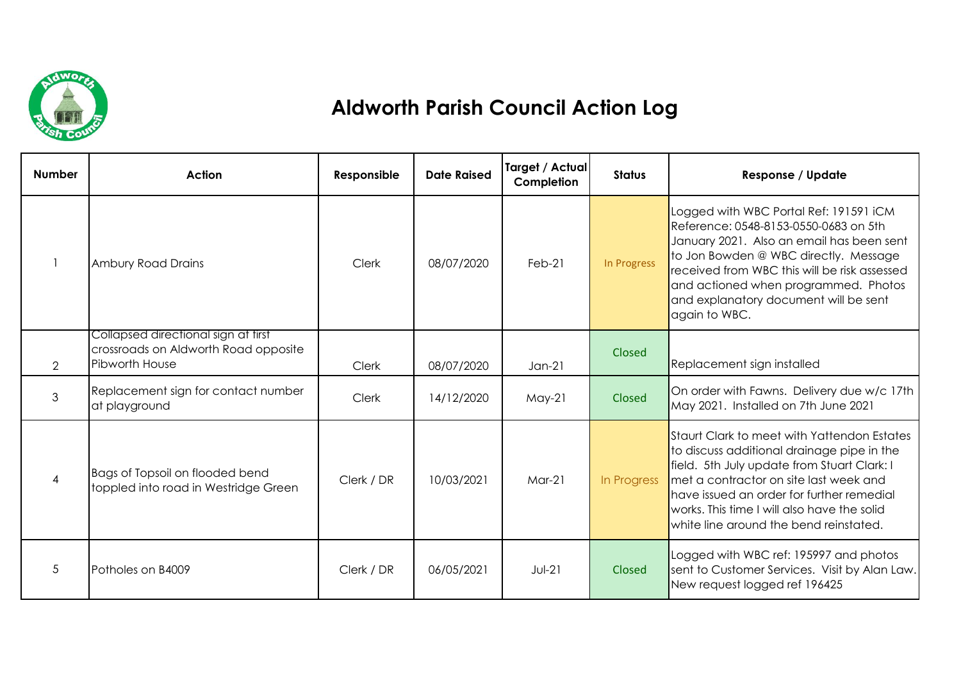

## **Aldworth Parish Council Action Log**

| <b>Number</b>  | <b>Action</b>                                                                                 | Responsible  | <b>Date Raised</b> | Target / Actual<br>Completion | <b>Status</b> | <b>Response / Update</b>                                                                                                                                                                                                                                                                                                 |
|----------------|-----------------------------------------------------------------------------------------------|--------------|--------------------|-------------------------------|---------------|--------------------------------------------------------------------------------------------------------------------------------------------------------------------------------------------------------------------------------------------------------------------------------------------------------------------------|
|                | <b>Ambury Road Drains</b>                                                                     | Clerk        | 08/07/2020         | $Feb-21$                      | In Progress   | Logged with WBC Portal Ref: 191591 iCM<br>Reference: 0548-8153-0550-0683 on 5th<br>January 2021. Also an email has been sent<br>to Jon Bowden @ WBC directly. Message<br>received from WBC this will be risk assessed<br>and actioned when programmed. Photos<br>and explanatory document will be sent<br>again to WBC.  |
| $\overline{2}$ | Collapsed directional sign at first<br>crossroads on Aldworth Road opposite<br>Pibworth House | <b>Clerk</b> | 08/07/2020         | $Jan-21$                      | Closed        | Replacement sign installed                                                                                                                                                                                                                                                                                               |
| 3              | Replacement sign for contact number<br>at playground                                          | Clerk        | 14/12/2020         | $May-21$                      | Closed        | On order with Fawns. Delivery due w/c 17th<br>May 2021. Installed on 7th June 2021                                                                                                                                                                                                                                       |
| $\overline{4}$ | Bags of Topsoil on flooded bend<br>toppled into road in Westridge Green                       | Clerk / DR   | 10/03/2021         | $Mar-21$                      | In Progress   | Staurt Clark to meet with Yattendon Estates<br>to discuss additional drainage pipe in the<br>field. 5th July update from Stuart Clark: I<br>met a contractor on site last week and<br>have issued an order for further remedial<br>works. This time I will also have the solid<br>white line around the bend reinstated. |
| 5              | Potholes on B4009                                                                             | Clerk / DR   | 06/05/2021         | $Jul-21$                      | Closed        | Logged with WBC ref: 195997 and photos<br>sent to Customer Services. Visit by Alan Law.<br>New request logged ref 196425                                                                                                                                                                                                 |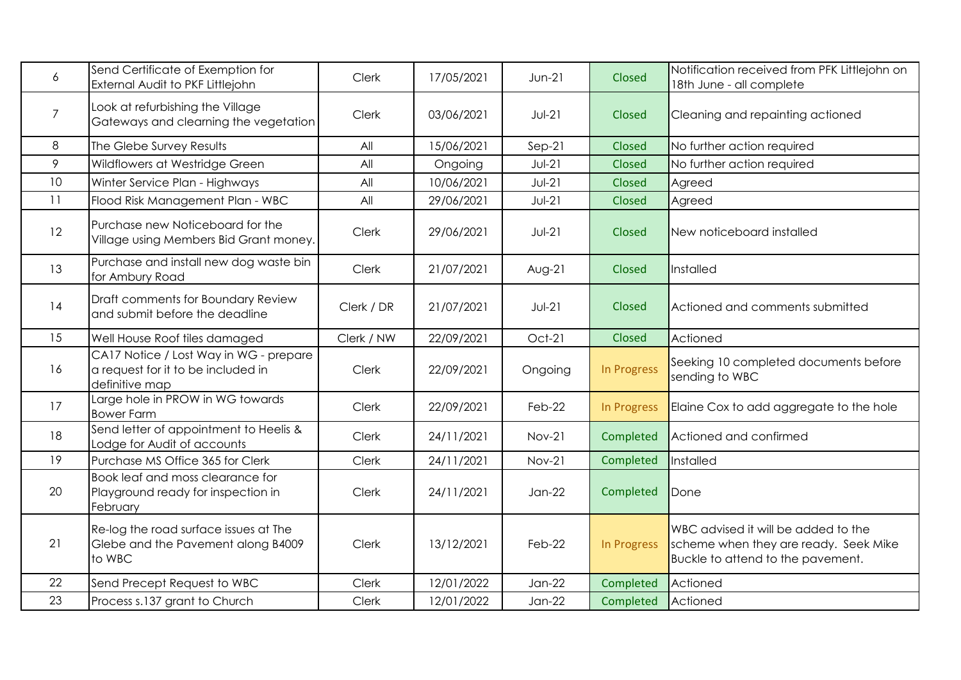| 6              | Send Certificate of Exemption for<br>External Audit to PKF Littlejohn                          | <b>Clerk</b> | 17/05/2021 | $Jun-21$      | Closed             | Notification received from PFK Littlejohn on<br>18th June - all complete                                          |
|----------------|------------------------------------------------------------------------------------------------|--------------|------------|---------------|--------------------|-------------------------------------------------------------------------------------------------------------------|
| $\overline{7}$ | Look at refurbishing the Village<br>Gateways and clearning the vegetation                      | <b>Clerk</b> | 03/06/2021 | $JU-I21$      | Closed             | Cleaning and repainting actioned                                                                                  |
| 8              | The Glebe Survey Results                                                                       | All          | 15/06/2021 | $Sep-21$      | Closed             | No further action required                                                                                        |
| 9              | Wildflowers at Westridge Green                                                                 | All          | Ongoing    | $Jul-21$      | <b>Closed</b>      | No further action required                                                                                        |
| 10             | Winter Service Plan - Highways                                                                 | All          | 10/06/2021 | $Jul-21$      | Closed             | Agreed                                                                                                            |
| 11             | Flood Risk Management Plan - WBC                                                               | All          | 29/06/2021 | $Jul-21$      | Closed             | Agreed                                                                                                            |
| 12             | Purchase new Noticeboard for the<br>Village using Members Bid Grant money.                     | Clerk        | 29/06/2021 | $Jul-21$      | Closed             | New noticeboard installed                                                                                         |
| 13             | Purchase and install new dog waste bin<br>for Ambury Road                                      | <b>Clerk</b> | 21/07/2021 | $Avg-21$      | Closed             | Installed                                                                                                         |
| 14             | Draft comments for Boundary Review<br>and submit before the deadline                           | Clerk / DR   | 21/07/2021 | $Jul-21$      | Closed             | Actioned and comments submitted                                                                                   |
| 15             | Well House Roof tiles damaged                                                                  | Clerk / NW   | 22/09/2021 | Oct-21        | Closed             | Actioned                                                                                                          |
| 16             | CA17 Notice / Lost Way in WG - prepare<br>a request for it to be included in<br>definitive map | <b>Clerk</b> | 22/09/2021 | Ongoing       | In Progress        | Seeking 10 completed documents before<br>sending to WBC                                                           |
| 17             | Large hole in PROW in WG towards<br><b>Bower Farm</b>                                          | <b>Clerk</b> | 22/09/2021 | Feb-22        | <b>In Progress</b> | Elaine Cox to add aggregate to the hole                                                                           |
| 18             | Send letter of appointment to Heelis &<br>Lodge for Audit of accounts                          | Clerk        | 24/11/2021 | $Nov-21$      | Completed          | Actioned and confirmed                                                                                            |
| 19             | Purchase MS Office 365 for Clerk                                                               | Clerk        | 24/11/2021 | <b>Nov-21</b> | Completed          | Installed                                                                                                         |
| 20             | Book leaf and moss clearance for<br>Playground ready for inspection in<br>February             | Clerk        | 24/11/2021 | $Jan-22$      | Completed          | Done                                                                                                              |
| 21             | Re-log the road surface issues at The<br>Glebe and the Pavement along B4009<br>to WBC          | <b>Clerk</b> | 13/12/2021 | Feb-22        | In Progress        | WBC advised it will be added to the<br>scheme when they are ready. Seek Mike<br>Buckle to attend to the pavement. |
| 22             | Send Precept Request to WBC                                                                    | Clerk        | 12/01/2022 | $Jan-22$      | Completed          | Actioned                                                                                                          |
| 23             | Process s.137 grant to Church                                                                  | Clerk        | 12/01/2022 | $Jan-22$      | Completed          | Actioned                                                                                                          |